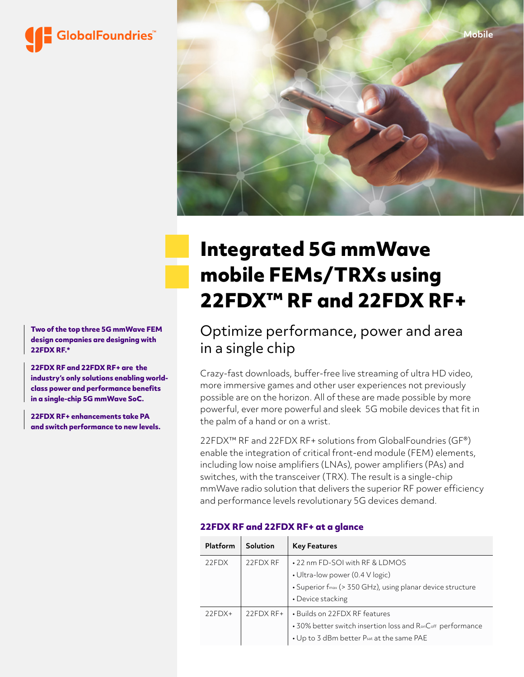



# **Integrated 5G mmWave mobile FEMs/TRXs using 22FDX™ RF and 22FDX RF+**

Optimize performance, power and area in a single chip

Crazy-fast downloads, buffer-free live streaming of ultra HD video, more immersive games and other user experiences not previously possible are on the horizon. All of these are made possible by more powerful, ever more powerful and sleek 5G mobile devices that fit in the palm of a hand or on a wrist.

22FDX<sup>™</sup> RF and 22FDX RF+ solutions from GlobalFoundries (GF<sup>®</sup>) enable the integration of critical front-end module (FEM) elements, including low noise amplifiers (LNAs), power amplifiers (PAs) and switches, with the transceiver (TRX). The result is a single-chip mmWave radio solution that delivers the superior RF power efficiency and performance levels revolutionary 5G devices demand.

## **22FDX RF and 22FDX RF+ at a glance**

| Platform | Solution   | <b>Key Features</b>                                                                                                                                  |
|----------|------------|------------------------------------------------------------------------------------------------------------------------------------------------------|
| 22FDX    | 22FDX RF   | • 22 nm FD-SOI with RF & LDMOS<br>• Ultra-low power (0.4 V logic)<br>• Superior fmax (> 350 GHz), using planar device structure<br>• Device stacking |
| $22FDX+$ | $22FDXRF+$ | • Builds on 22FDX RF features<br>• 30% better switch insertion loss and RonCoff performance<br>• Up to 3 dBm better Psat at the same PAE             |

**Two of the top three 5G mmWave FEM design companies are designing with 22FDX RF.\***

**22FDX RF and 22FDX RF+ are the industry's only solutions enabling worldclass power and performance benefits in a single-chip 5G mmWave SoC.**

**22FDX RF+ enhancements take PA and switch performance to new levels.**